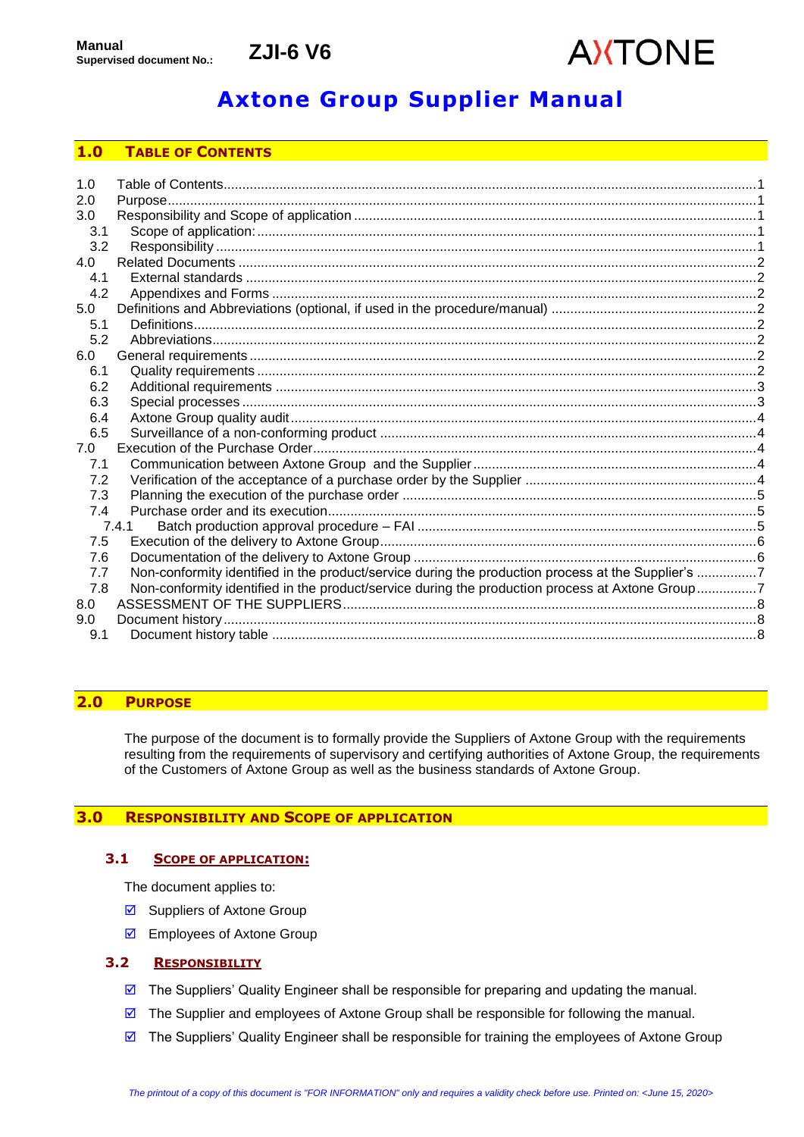# **AXTONE**

# **Axtone Group Supplier Manual**

# <span id="page-0-0"></span>**1.0 TABLE OF CONTENTS**

| 2.0<br>Purpose<br>3.0<br>3.1<br>3.2<br>4.0<br>4.1<br>4.2<br>5.0<br>5.1<br>5.2<br>6.0<br>6.1<br>6.2<br>6.3<br>6.4<br>6.5<br>7.0<br>7.1<br>7.2<br>7.3<br>7.4<br>7.4.1<br>7.5<br>7.6<br>Non-conformity identified in the product/service during the production process at the Supplier's 7<br>7.7<br>Non-conformity identified in the product/service during the production process at Axtone Group7<br>7.8<br>8.0<br>$9.0^{\circ}$<br>9.1 | 1.0 |  |
|-----------------------------------------------------------------------------------------------------------------------------------------------------------------------------------------------------------------------------------------------------------------------------------------------------------------------------------------------------------------------------------------------------------------------------------------|-----|--|
|                                                                                                                                                                                                                                                                                                                                                                                                                                         |     |  |
|                                                                                                                                                                                                                                                                                                                                                                                                                                         |     |  |
|                                                                                                                                                                                                                                                                                                                                                                                                                                         |     |  |
|                                                                                                                                                                                                                                                                                                                                                                                                                                         |     |  |
|                                                                                                                                                                                                                                                                                                                                                                                                                                         |     |  |
|                                                                                                                                                                                                                                                                                                                                                                                                                                         |     |  |
|                                                                                                                                                                                                                                                                                                                                                                                                                                         |     |  |
|                                                                                                                                                                                                                                                                                                                                                                                                                                         |     |  |
|                                                                                                                                                                                                                                                                                                                                                                                                                                         |     |  |
|                                                                                                                                                                                                                                                                                                                                                                                                                                         |     |  |
|                                                                                                                                                                                                                                                                                                                                                                                                                                         |     |  |
|                                                                                                                                                                                                                                                                                                                                                                                                                                         |     |  |
|                                                                                                                                                                                                                                                                                                                                                                                                                                         |     |  |
|                                                                                                                                                                                                                                                                                                                                                                                                                                         |     |  |
|                                                                                                                                                                                                                                                                                                                                                                                                                                         |     |  |
|                                                                                                                                                                                                                                                                                                                                                                                                                                         |     |  |
|                                                                                                                                                                                                                                                                                                                                                                                                                                         |     |  |
|                                                                                                                                                                                                                                                                                                                                                                                                                                         |     |  |
|                                                                                                                                                                                                                                                                                                                                                                                                                                         |     |  |
|                                                                                                                                                                                                                                                                                                                                                                                                                                         |     |  |
|                                                                                                                                                                                                                                                                                                                                                                                                                                         |     |  |
|                                                                                                                                                                                                                                                                                                                                                                                                                                         |     |  |
|                                                                                                                                                                                                                                                                                                                                                                                                                                         |     |  |
|                                                                                                                                                                                                                                                                                                                                                                                                                                         |     |  |
|                                                                                                                                                                                                                                                                                                                                                                                                                                         |     |  |
|                                                                                                                                                                                                                                                                                                                                                                                                                                         |     |  |
|                                                                                                                                                                                                                                                                                                                                                                                                                                         |     |  |
|                                                                                                                                                                                                                                                                                                                                                                                                                                         |     |  |
|                                                                                                                                                                                                                                                                                                                                                                                                                                         |     |  |

# <span id="page-0-1"></span>**2.0 PURPOSE**

The purpose of the document is to formally provide the Suppliers of Axtone Group with the requirements resulting from the requirements of supervisory and certifying authorities of Axtone Group, the requirements of the Customers of Axtone Group as well as the business standards of Axtone Group.

# <span id="page-0-2"></span>**3.0 RESPONSIBILITY AND SCOPE OF APPLICATION**

# <span id="page-0-3"></span>**3.1 SCOPE OF APPLICATION:**

The document applies to:

- $\boxdot$  Suppliers of Axtone Group
- $\boxed{✓$  Employees of Axtone Group

# <span id="page-0-4"></span>**3.2 RESPONSIBILITY**

- $\boxtimes$  The Suppliers' Quality Engineer shall be responsible for preparing and updating the manual.
- $\boxdot$  The Supplier and employees of Axtone Group shall be responsible for following the manual.
- $\boxtimes$  The Suppliers' Quality Engineer shall be responsible for training the employees of Axtone Group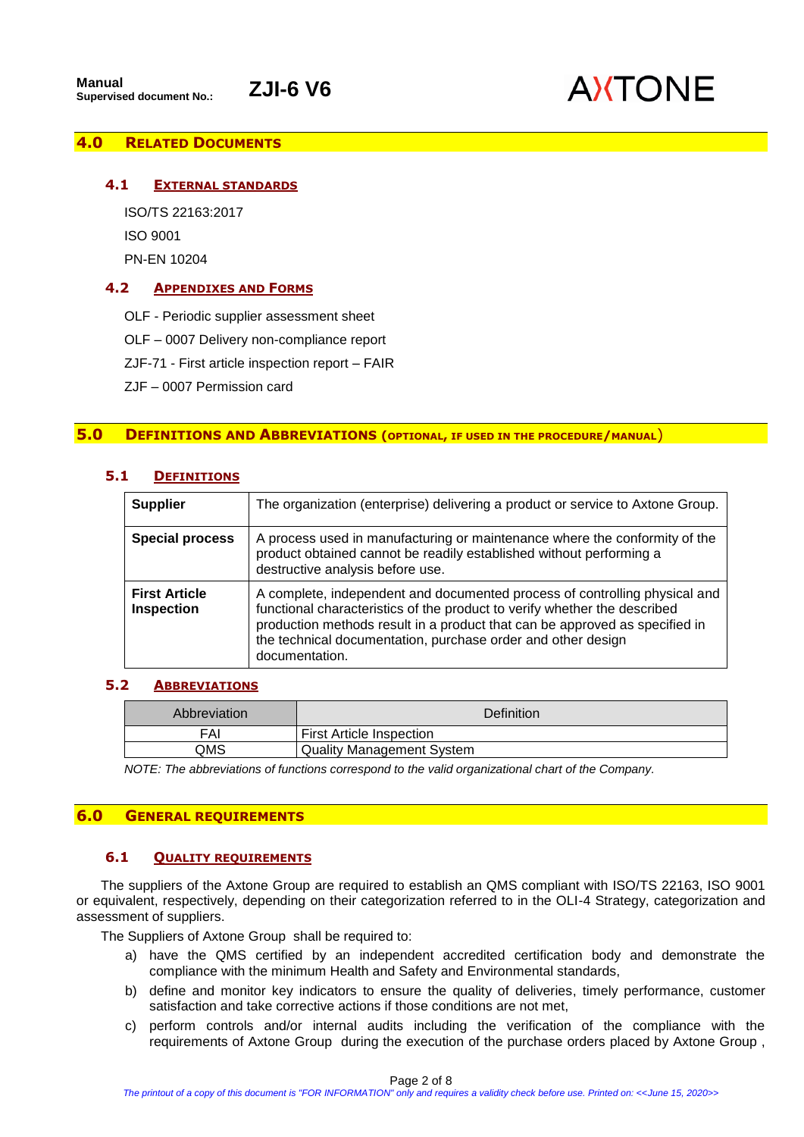# **AXTONE**

# <span id="page-1-0"></span>**4.0 RELATED DOCUMENTS**

# <span id="page-1-1"></span>**4.1 EXTERNAL STANDARDS**

ISO/TS 22163:2017

ISO 9001

PN-EN 10204

# <span id="page-1-2"></span>**4.2 APPENDIXES AND FORMS**

OLF - Periodic supplier assessment sheet

OLF – 0007 Delivery non-compliance report

ZJF-71 - First article inspection report – FAIR

ZJF – 0007 Permission card

#### <span id="page-1-3"></span>**5.0 DEFINITIONS AND ABBREVIATIONS (OPTIONAL, IF USED IN THE PROCEDURE/MANUAL**)

| <b>Supplier</b>                    | The organization (enterprise) delivering a product or service to Axtone Group.                                                                                                                                                                                                                                           |
|------------------------------------|--------------------------------------------------------------------------------------------------------------------------------------------------------------------------------------------------------------------------------------------------------------------------------------------------------------------------|
| <b>Special process</b>             | A process used in manufacturing or maintenance where the conformity of the<br>product obtained cannot be readily established without performing a<br>destructive analysis before use.                                                                                                                                    |
| <b>First Article</b><br>Inspection | A complete, independent and documented process of controlling physical and<br>functional characteristics of the product to verify whether the described<br>production methods result in a product that can be approved as specified in<br>the technical documentation, purchase order and other design<br>documentation. |

# <span id="page-1-4"></span>**5.1 DEFINITIONS**

# <span id="page-1-5"></span>**5.2 ABBREVIATIONS**

| Abbreviation                                                                                                                                                                                                                                                                                                                                                                                                                                                    | Definition                       |  |  |  |
|-----------------------------------------------------------------------------------------------------------------------------------------------------------------------------------------------------------------------------------------------------------------------------------------------------------------------------------------------------------------------------------------------------------------------------------------------------------------|----------------------------------|--|--|--|
| FAI                                                                                                                                                                                                                                                                                                                                                                                                                                                             | <b>First Article Inspection</b>  |  |  |  |
| QMS                                                                                                                                                                                                                                                                                                                                                                                                                                                             | <b>Quality Management System</b> |  |  |  |
| $\mathcal{L}(\mathcal{L}(\mathcal{T}) = \mathcal{T}(\mathcal{L}(\mathcal{L}(\mathcal{L}(\mathcal{L}(\mathcal{L}(\mathcal{L}(\mathcal{L}(\mathcal{L}(\mathcal{L}(\mathcal{L}(\mathcal{L}(\mathcal{L}(\mathcal{L}(\mathcal{L}(\mathcal{L}(\mathcal{L}(\mathcal{L}(\mathcal{L}(\mathcal{L}(\mathcal{L}(\mathcal{L}(\mathcal{L}(\mathcal{L}(\mathcal{L}(\mathcal{L}(\mathcal{L}(\mathcal{L}(\mathcal{L}(\mathcal{L}(\mathcal{L}(\mathcal{L}(\mathcal{L}(\mathcal{L$ |                                  |  |  |  |

*NOTE: The abbreviations of functions correspond to the valid organizational chart of the Company.*

# <span id="page-1-7"></span><span id="page-1-6"></span>**6.0 GENERAL REQUIREMENTS**

# **6.1 QUALITY REQUIREMENTS**

The suppliers of the Axtone Group are required to establish an QMS compliant with ISO/TS 22163, ISO 9001 or equivalent, respectively, depending on their categorization referred to in the OLI-4 Strategy, categorization and assessment of suppliers.

The Suppliers of Axtone Group shall be required to:

- a) have the QMS certified by an independent accredited certification body and demonstrate the compliance with the minimum Health and Safety and Environmental standards,
- b) define and monitor key indicators to ensure the quality of deliveries, timely performance, customer satisfaction and take corrective actions if those conditions are not met,
- c) perform controls and/or internal audits including the verification of the compliance with the requirements of Axtone Group during the execution of the purchase orders placed by Axtone Group ,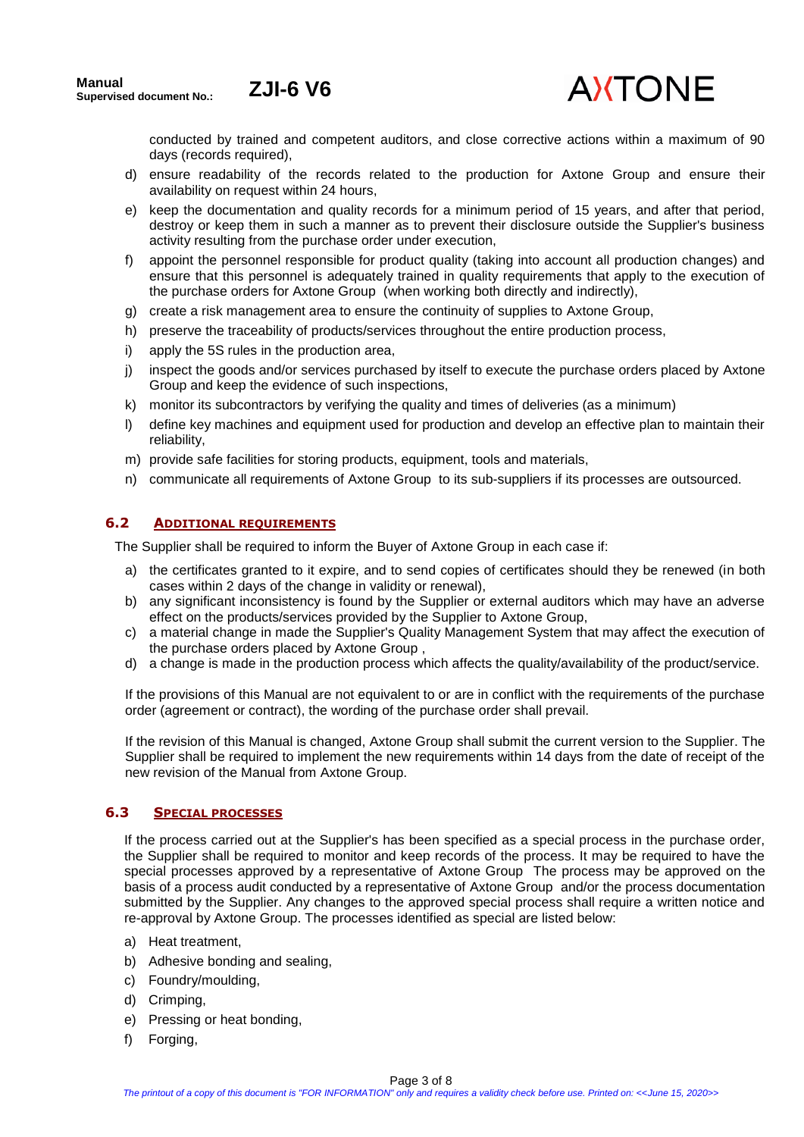

conducted by trained and competent auditors, and close corrective actions within a maximum of 90 days (records required),

- d) ensure readability of the records related to the production for Axtone Group and ensure their availability on request within 24 hours,
- e) keep the documentation and quality records for a minimum period of 15 years, and after that period, destroy or keep them in such a manner as to prevent their disclosure outside the Supplier's business activity resulting from the purchase order under execution,
- f) appoint the personnel responsible for product quality (taking into account all production changes) and ensure that this personnel is adequately trained in quality requirements that apply to the execution of the purchase orders for Axtone Group (when working both directly and indirectly),
- g) create a risk management area to ensure the continuity of supplies to Axtone Group,
- h) preserve the traceability of products/services throughout the entire production process,
- i) apply the 5S rules in the production area,
- j) inspect the goods and/or services purchased by itself to execute the purchase orders placed by Axtone Group and keep the evidence of such inspections,
- k) monitor its subcontractors by verifying the quality and times of deliveries (as a minimum)
- l) define key machines and equipment used for production and develop an effective plan to maintain their reliability,
- m) provide safe facilities for storing products, equipment, tools and materials,
- n) communicate all requirements of Axtone Group to its sub-suppliers if its processes are outsourced.

# <span id="page-2-0"></span>**6.2 ADDITIONAL REQUIREMENTS**

The Supplier shall be required to inform the Buyer of Axtone Group in each case if:

- a) the certificates granted to it expire, and to send copies of certificates should they be renewed (in both cases within 2 days of the change in validity or renewal),
- b) any significant inconsistency is found by the Supplier or external auditors which may have an adverse effect on the products/services provided by the Supplier to Axtone Group,
- c) a material change in made the Supplier's Quality Management System that may affect the execution of the purchase orders placed by Axtone Group ,
- d) a change is made in the production process which affects the quality/availability of the product/service.

If the provisions of this Manual are not equivalent to or are in conflict with the requirements of the purchase order (agreement or contract), the wording of the purchase order shall prevail.

If the revision of this Manual is changed, Axtone Group shall submit the current version to the Supplier. The Supplier shall be required to implement the new requirements within 14 days from the date of receipt of the new revision of the Manual from Axtone Group.

# <span id="page-2-1"></span>**6.3 SPECIAL PROCESSES**

If the process carried out at the Supplier's has been specified as a special process in the purchase order, the Supplier shall be required to monitor and keep records of the process. It may be required to have the special processes approved by a representative of Axtone Group The process may be approved on the basis of a process audit conducted by a representative of Axtone Group and/or the process documentation submitted by the Supplier. Any changes to the approved special process shall require a written notice and re-approval by Axtone Group. The processes identified as special are listed below:

- a) Heat treatment,
- b) Adhesive bonding and sealing,
- c) Foundry/moulding,
- d) Crimping,
- e) Pressing or heat bonding,
- f) Forging,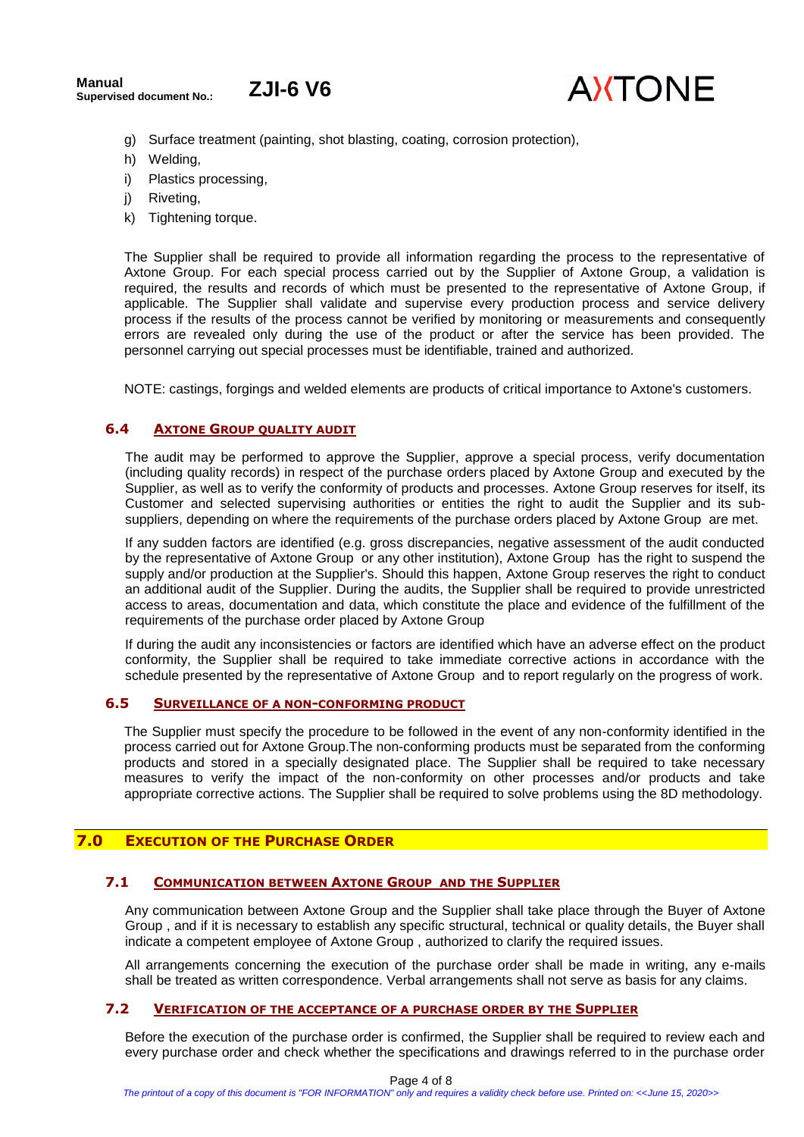

- g) Surface treatment (painting, shot blasting, coating, corrosion protection),
- h) Welding,
- i) Plastics processing,
- j) Riveting,
- k) Tightening torque.

The Supplier shall be required to provide all information regarding the process to the representative of Axtone Group. For each special process carried out by the Supplier of Axtone Group, a validation is required, the results and records of which must be presented to the representative of Axtone Group, if applicable. The Supplier shall validate and supervise every production process and service delivery process if the results of the process cannot be verified by monitoring or measurements and consequently errors are revealed only during the use of the product or after the service has been provided. The personnel carrying out special processes must be identifiable, trained and authorized.

NOTE: castings, forgings and welded elements are products of critical importance to Axtone's customers.

#### <span id="page-3-0"></span>**6.4 AXTONE GROUP QUALITY AUDIT**

The audit may be performed to approve the Supplier, approve a special process, verify documentation (including quality records) in respect of the purchase orders placed by Axtone Group and executed by the Supplier, as well as to verify the conformity of products and processes. Axtone Group reserves for itself, its Customer and selected supervising authorities or entities the right to audit the Supplier and its subsuppliers, depending on where the requirements of the purchase orders placed by Axtone Group are met.

If any sudden factors are identified (e.g. gross discrepancies, negative assessment of the audit conducted by the representative of Axtone Group or any other institution), Axtone Group has the right to suspend the supply and/or production at the Supplier's. Should this happen, Axtone Group reserves the right to conduct an additional audit of the Supplier. During the audits, the Supplier shall be required to provide unrestricted access to areas, documentation and data, which constitute the place and evidence of the fulfillment of the requirements of the purchase order placed by Axtone Group

If during the audit any inconsistencies or factors are identified which have an adverse effect on the product conformity, the Supplier shall be required to take immediate corrective actions in accordance with the schedule presented by the representative of Axtone Group and to report regularly on the progress of work.

# <span id="page-3-1"></span>**6.5 SURVEILLANCE OF A NON-CONFORMING PRODUCT**

The Supplier must specify the procedure to be followed in the event of any non-conformity identified in the process carried out for Axtone Group.The non-conforming products must be separated from the conforming products and stored in a specially designated place. The Supplier shall be required to take necessary measures to verify the impact of the non-conformity on other processes and/or products and take appropriate corrective actions. The Supplier shall be required to solve problems using the 8D methodology.

#### <span id="page-3-3"></span><span id="page-3-2"></span>**7.0 EXECUTION OF THE PURCHASE ORDER**

#### **7.1 COMMUNICATION BETWEEN AXTONE GROUP AND THE SUPPLIER**

Any communication between Axtone Group and the Supplier shall take place through the Buyer of Axtone Group , and if it is necessary to establish any specific structural, technical or quality details, the Buyer shall indicate a competent employee of Axtone Group , authorized to clarify the required issues.

All arrangements concerning the execution of the purchase order shall be made in writing, any e-mails shall be treated as written correspondence. Verbal arrangements shall not serve as basis for any claims.

#### <span id="page-3-4"></span>**7.2 VERIFICATION OF THE ACCEPTANCE OF A PURCHASE ORDER BY THE SUPPLIER**

Before the execution of the purchase order is confirmed, the Supplier shall be required to review each and every purchase order and check whether the specifications and drawings referred to in the purchase order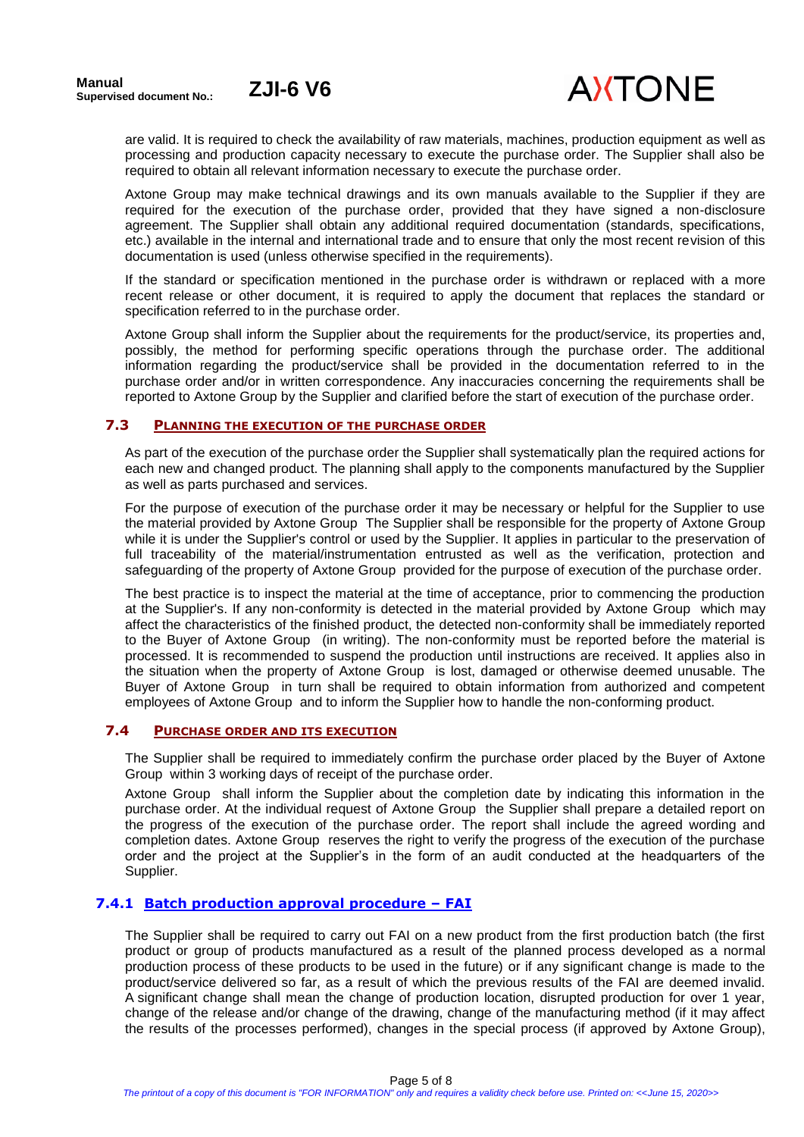are valid. It is required to check the availability of raw materials, machines, production equipment as well as processing and production capacity necessary to execute the purchase order. The Supplier shall also be required to obtain all relevant information necessary to execute the purchase order.

Axtone Group may make technical drawings and its own manuals available to the Supplier if they are required for the execution of the purchase order, provided that they have signed a non-disclosure agreement. The Supplier shall obtain any additional required documentation (standards, specifications, etc.) available in the internal and international trade and to ensure that only the most recent revision of this documentation is used (unless otherwise specified in the requirements).

If the standard or specification mentioned in the purchase order is withdrawn or replaced with a more recent release or other document, it is required to apply the document that replaces the standard or specification referred to in the purchase order.

Axtone Group shall inform the Supplier about the requirements for the product/service, its properties and, possibly, the method for performing specific operations through the purchase order. The additional information regarding the product/service shall be provided in the documentation referred to in the purchase order and/or in written correspondence. Any inaccuracies concerning the requirements shall be reported to Axtone Group by the Supplier and clarified before the start of execution of the purchase order.

# <span id="page-4-0"></span>**7.3 PLANNING THE EXECUTION OF THE PURCHASE ORDER**

As part of the execution of the purchase order the Supplier shall systematically plan the required actions for each new and changed product. The planning shall apply to the components manufactured by the Supplier as well as parts purchased and services.

For the purpose of execution of the purchase order it may be necessary or helpful for the Supplier to use the material provided by Axtone Group The Supplier shall be responsible for the property of Axtone Group while it is under the Supplier's control or used by the Supplier. It applies in particular to the preservation of full traceability of the material/instrumentation entrusted as well as the verification, protection and safeguarding of the property of Axtone Group provided for the purpose of execution of the purchase order.

The best practice is to inspect the material at the time of acceptance, prior to commencing the production at the Supplier's. If any non-conformity is detected in the material provided by Axtone Group which may affect the characteristics of the finished product, the detected non-conformity shall be immediately reported to the Buyer of Axtone Group (in writing). The non-conformity must be reported before the material is processed. It is recommended to suspend the production until instructions are received. It applies also in the situation when the property of Axtone Group is lost, damaged or otherwise deemed unusable. The Buyer of Axtone Group in turn shall be required to obtain information from authorized and competent employees of Axtone Group and to inform the Supplier how to handle the non-conforming product.

# <span id="page-4-1"></span>**7.4 PURCHASE ORDER AND ITS EXECUTION**

The Supplier shall be required to immediately confirm the purchase order placed by the Buyer of Axtone Group within 3 working days of receipt of the purchase order.

Axtone Group shall inform the Supplier about the completion date by indicating this information in the purchase order. At the individual request of Axtone Group the Supplier shall prepare a detailed report on the progress of the execution of the purchase order. The report shall include the agreed wording and completion dates. Axtone Group reserves the right to verify the progress of the execution of the purchase order and the project at the Supplier's in the form of an audit conducted at the headquarters of the Supplier.

# <span id="page-4-2"></span>**7.4.1 Batch production approval procedure – FAI**

The Supplier shall be required to carry out FAI on a new product from the first production batch (the first product or group of products manufactured as a result of the planned process developed as a normal production process of these products to be used in the future) or if any significant change is made to the product/service delivered so far, as a result of which the previous results of the FAI are deemed invalid. A significant change shall mean the change of production location, disrupted production for over 1 year, change of the release and/or change of the drawing, change of the manufacturing method (if it may affect the results of the processes performed), changes in the special process (if approved by Axtone Group),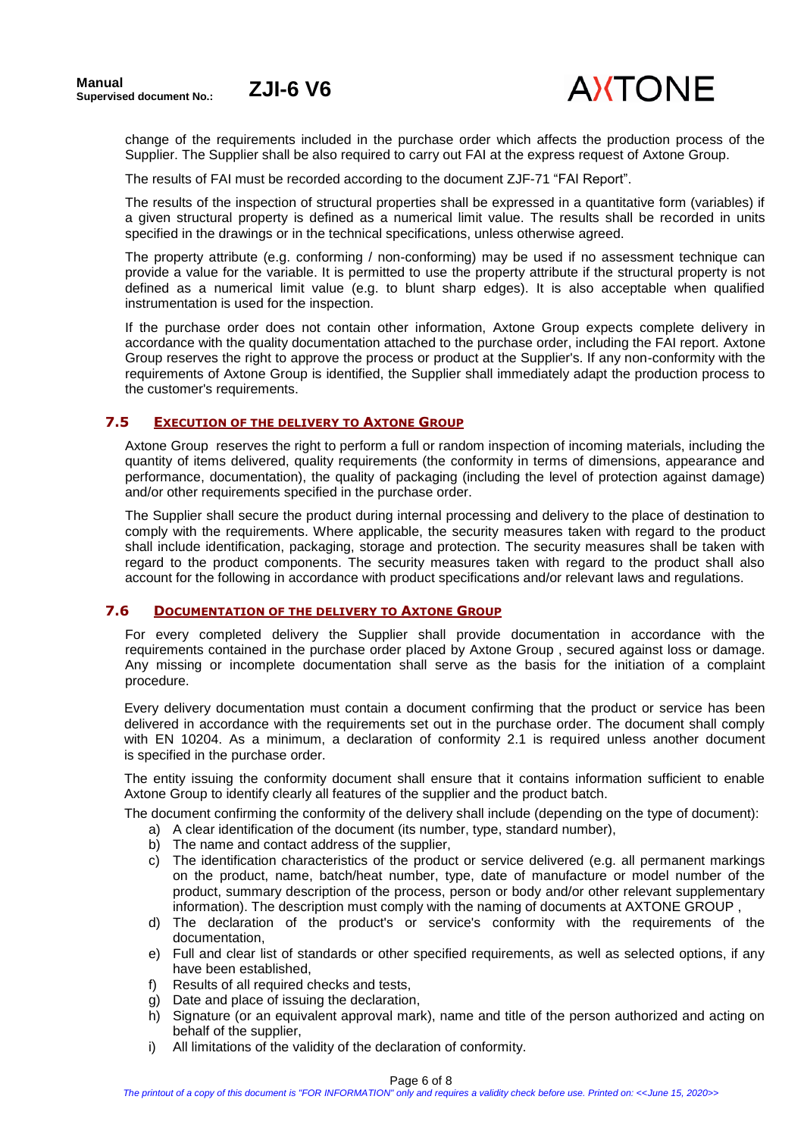

change of the requirements included in the purchase order which affects the production process of the Supplier. The Supplier shall be also required to carry out FAI at the express request of Axtone Group.

The results of FAI must be recorded according to the document ZJF-71 "FAI Report".

The results of the inspection of structural properties shall be expressed in a quantitative form (variables) if a given structural property is defined as a numerical limit value. The results shall be recorded in units specified in the drawings or in the technical specifications, unless otherwise agreed.

The property attribute (e.g. conforming / non-conforming) may be used if no assessment technique can provide a value for the variable. It is permitted to use the property attribute if the structural property is not defined as a numerical limit value (e.g. to blunt sharp edges). It is also acceptable when qualified instrumentation is used for the inspection.

If the purchase order does not contain other information, Axtone Group expects complete delivery in accordance with the quality documentation attached to the purchase order, including the FAI report. Axtone Group reserves the right to approve the process or product at the Supplier's. If any non-conformity with the requirements of Axtone Group is identified, the Supplier shall immediately adapt the production process to the customer's requirements.

## <span id="page-5-0"></span>**7.5 EXECUTION OF THE DELIVERY TO AXTONE GROUP**

Axtone Group reserves the right to perform a full or random inspection of incoming materials, including the quantity of items delivered, quality requirements (the conformity in terms of dimensions, appearance and performance, documentation), the quality of packaging (including the level of protection against damage) and/or other requirements specified in the purchase order.

The Supplier shall secure the product during internal processing and delivery to the place of destination to comply with the requirements. Where applicable, the security measures taken with regard to the product shall include identification, packaging, storage and protection. The security measures shall be taken with regard to the product components. The security measures taken with regard to the product shall also account for the following in accordance with product specifications and/or relevant laws and regulations.

#### <span id="page-5-1"></span>**7.6 DOCUMENTATION OF THE DELIVERY TO AXTONE GROUP**

For every completed delivery the Supplier shall provide documentation in accordance with the requirements contained in the purchase order placed by Axtone Group , secured against loss or damage. Any missing or incomplete documentation shall serve as the basis for the initiation of a complaint procedure.

Every delivery documentation must contain a document confirming that the product or service has been delivered in accordance with the requirements set out in the purchase order. The document shall comply with EN 10204. As a minimum, a declaration of conformity 2.1 is required unless another document is specified in the purchase order.

The entity issuing the conformity document shall ensure that it contains information sufficient to enable Axtone Group to identify clearly all features of the supplier and the product batch.

The document confirming the conformity of the delivery shall include (depending on the type of document):

- a) A clear identification of the document (its number, type, standard number),
- b) The name and contact address of the supplier,
- c) The identification characteristics of the product or service delivered (e.g. all permanent markings on the product, name, batch/heat number, type, date of manufacture or model number of the product, summary description of the process, person or body and/or other relevant supplementary information). The description must comply with the naming of documents at AXTONE GROUP ,
- d) The declaration of the product's or service's conformity with the requirements of the documentation,
- e) Full and clear list of standards or other specified requirements, as well as selected options, if any have been established,
- f) Results of all required checks and tests,
- g) Date and place of issuing the declaration,
- h) Signature (or an equivalent approval mark), name and title of the person authorized and acting on behalf of the supplier,
- i) All limitations of the validity of the declaration of conformity.

#### Page 6 of 8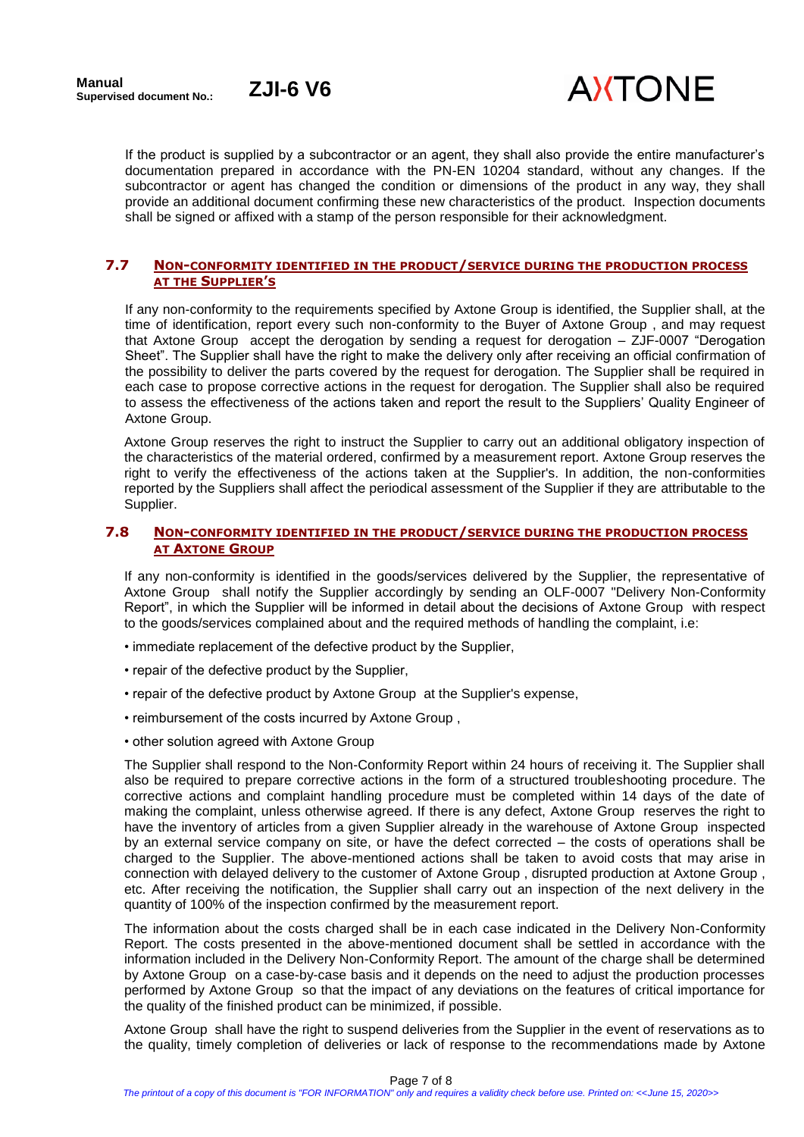

If the product is supplied by a subcontractor or an agent, they shall also provide the entire manufacturer's documentation prepared in accordance with the PN-EN 10204 standard, without any changes. If the subcontractor or agent has changed the condition or dimensions of the product in any way, they shall provide an additional document confirming these new characteristics of the product. Inspection documents shall be signed or affixed with a stamp of the person responsible for their acknowledgment.

#### <span id="page-6-0"></span>**7.7 NON-CONFORMITY IDENTIFIED IN THE PRODUCT/SERVICE DURING THE PRODUCTION PROCESS AT THE SUPPLIER'S**

If any non-conformity to the requirements specified by Axtone Group is identified, the Supplier shall, at the time of identification, report every such non-conformity to the Buyer of Axtone Group , and may request that Axtone Group accept the derogation by sending a request for derogation – ZJF-0007 "Derogation Sheet". The Supplier shall have the right to make the delivery only after receiving an official confirmation of the possibility to deliver the parts covered by the request for derogation. The Supplier shall be required in each case to propose corrective actions in the request for derogation. The Supplier shall also be required to assess the effectiveness of the actions taken and report the result to the Suppliers' Quality Engineer of Axtone Group.

Axtone Group reserves the right to instruct the Supplier to carry out an additional obligatory inspection of the characteristics of the material ordered, confirmed by a measurement report. Axtone Group reserves the right to verify the effectiveness of the actions taken at the Supplier's. In addition, the non-conformities reported by the Suppliers shall affect the periodical assessment of the Supplier if they are attributable to the Supplier.

#### <span id="page-6-1"></span>**7.8 NON-CONFORMITY IDENTIFIED IN THE PRODUCT/SERVICE DURING THE PRODUCTION PROCESS AT AXTONE GROUP**

If any non-conformity is identified in the goods/services delivered by the Supplier, the representative of Axtone Group shall notify the Supplier accordingly by sending an OLF-0007 "Delivery Non-Conformity Report", in which the Supplier will be informed in detail about the decisions of Axtone Group with respect to the goods/services complained about and the required methods of handling the complaint, i.e:

- immediate replacement of the defective product by the Supplier,
- repair of the defective product by the Supplier,
- repair of the defective product by Axtone Group at the Supplier's expense,
- reimbursement of the costs incurred by Axtone Group ,
- other solution agreed with Axtone Group

The Supplier shall respond to the Non-Conformity Report within 24 hours of receiving it. The Supplier shall also be required to prepare corrective actions in the form of a structured troubleshooting procedure. The corrective actions and complaint handling procedure must be completed within 14 days of the date of making the complaint, unless otherwise agreed. If there is any defect, Axtone Group reserves the right to have the inventory of articles from a given Supplier already in the warehouse of Axtone Group inspected by an external service company on site, or have the defect corrected – the costs of operations shall be charged to the Supplier. The above-mentioned actions shall be taken to avoid costs that may arise in connection with delayed delivery to the customer of Axtone Group , disrupted production at Axtone Group , etc. After receiving the notification, the Supplier shall carry out an inspection of the next delivery in the quantity of 100% of the inspection confirmed by the measurement report.

The information about the costs charged shall be in each case indicated in the Delivery Non-Conformity Report. The costs presented in the above-mentioned document shall be settled in accordance with the information included in the Delivery Non-Conformity Report. The amount of the charge shall be determined by Axtone Group on a case-by-case basis and it depends on the need to adjust the production processes performed by Axtone Group so that the impact of any deviations on the features of critical importance for the quality of the finished product can be minimized, if possible.

Axtone Group shall have the right to suspend deliveries from the Supplier in the event of reservations as to the quality, timely completion of deliveries or lack of response to the recommendations made by Axtone